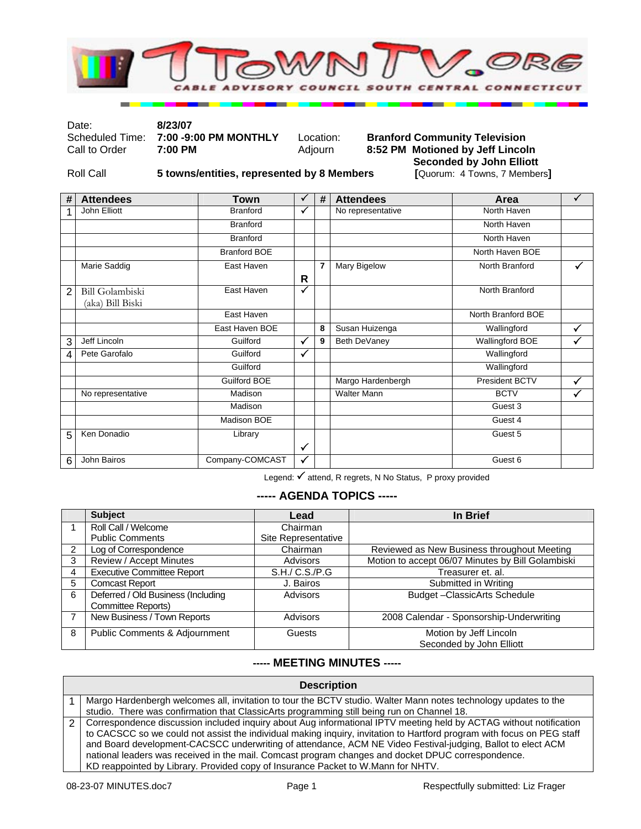

Date: **8/23/07** 

Scheduled Time: **7:00 -9:00 PM MONTHLY** Location:<br>Call to Order **7:00 PM Adjourn** 

# **Branford Community Television 8:52 PM Motioned by Jeff Lincoln Seconded by John Elliott**<br>[Quorum: 4 Towns, 7 Members]

Roll Call **5 towns/entities, represented by 8 Members** 

| #              | <b>Attendees</b>                           | <b>Town</b>         | ✓            | # | <b>Attendees</b>   | Area               | ✓            |
|----------------|--------------------------------------------|---------------------|--------------|---|--------------------|--------------------|--------------|
|                | John Elliott                               | <b>Branford</b>     | ✓            |   | No representative  | North Haven        |              |
|                |                                            | <b>Branford</b>     |              |   |                    | North Haven        |              |
|                |                                            | <b>Branford</b>     |              |   |                    | North Haven        |              |
|                |                                            | <b>Branford BOE</b> |              |   |                    | North Haven BOE    |              |
|                | Marie Saddig                               | East Haven          | R            | 7 | Mary Bigelow       | North Branford     | ✓            |
| $\overline{2}$ | <b>Bill Golambiski</b><br>(aka) Bill Biski | East Haven          | ✓            |   |                    | North Branford     |              |
|                |                                            | East Haven          |              |   |                    | North Branford BOE |              |
|                |                                            | East Haven BOE      |              | 8 | Susan Huizenga     | Wallingford        | $\checkmark$ |
| 3              | Jeff Lincoln                               | Guilford            | ✓            | 9 | Beth DeVaney       | Wallingford BOE    |              |
| 4              | Pete Garofalo                              | Guilford            | ✓            |   |                    | Wallingford        |              |
|                |                                            | Guilford            |              |   |                    | Wallingford        |              |
|                |                                            | <b>Guilford BOE</b> |              |   | Margo Hardenbergh  | President BCTV     | ✓            |
|                | No representative                          | Madison             |              |   | <b>Walter Mann</b> | <b>BCTV</b>        | ✓            |
|                |                                            | Madison             |              |   |                    | Guest 3            |              |
|                |                                            | Madison BOE         |              |   |                    | Guest 4            |              |
| 5              | Ken Donadio                                | Library             | $\checkmark$ |   |                    | Guest 5            |              |
| 6              | John Bairos                                | Company-COMCAST     | ✓            |   |                    | Guest 6            |              |

Legend: √ attend, R regrets, N No Status, P proxy provided

#### **----- AGENDA TOPICS -----**

|   | <b>Subject</b>                     | Lead                | In Brief                                          |
|---|------------------------------------|---------------------|---------------------------------------------------|
|   | Roll Call / Welcome                | Chairman            |                                                   |
|   | <b>Public Comments</b>             | Site Representative |                                                   |
| 2 | Log of Correspondence              | Chairman            | Reviewed as New Business throughout Meeting       |
| 3 | <b>Review / Accept Minutes</b>     | Advisors            | Motion to accept 06/07 Minutes by Bill Golambiski |
| 4 | <b>Executive Committee Report</b>  | S.H./ C.S./P.G      | Treasurer et. al.                                 |
| 5 | <b>Comcast Report</b>              | J. Bairos           | Submitted in Writing                              |
| 6 | Deferred / Old Business (Including | Advisors            | Budget-ClassicArts Schedule                       |
|   | Committee Reports)                 |                     |                                                   |
|   | New Business / Town Reports        | <b>Advisors</b>     | 2008 Calendar - Sponsorship-Underwriting          |
| 8 | Public Comments & Adjournment      | Guests              | Motion by Jeff Lincoln                            |
|   |                                    |                     | Seconded by John Elliott                          |

## **----- MEETING MINUTES -----**

| <b>Description</b>                                                                                                     |  |  |  |  |
|------------------------------------------------------------------------------------------------------------------------|--|--|--|--|
| Margo Hardenbergh welcomes all, invitation to tour the BCTV studio. Walter Mann notes technology updates to the        |  |  |  |  |
| studio. There was confirmation that ClassicArts programming still being run on Channel 18.                             |  |  |  |  |
| Correspondence discussion included inquiry about Aug informational IPTV meeting held by ACTAG without notification     |  |  |  |  |
| to CACSCC so we could not assist the individual making inquiry, invitation to Hartford program with focus on PEG staff |  |  |  |  |
| and Board development-CACSCC underwriting of attendance, ACM NE Video Festival-judging, Ballot to elect ACM            |  |  |  |  |
| national leaders was received in the mail. Comcast program changes and docket DPUC correspondence.                     |  |  |  |  |
| KD reappointed by Library. Provided copy of Insurance Packet to W.Mann for NHTV.                                       |  |  |  |  |